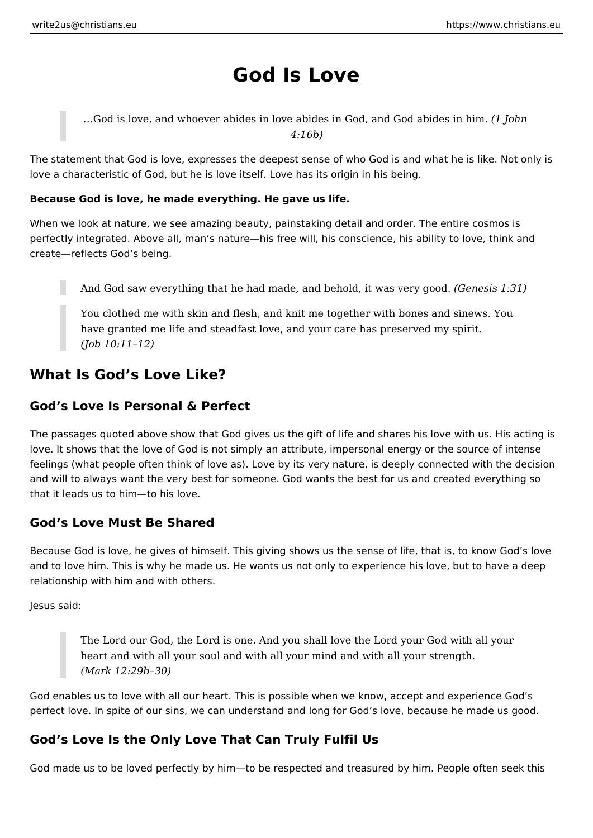# **God Is Love**

…God is love, and whoever abides in love abides in God, and God abides in him. *(1 John 4:16b)*

The statement that God is love, expresses the deepest sense of who God is and what he is like. Not only is love a characteristic of God, but he is love itself. Love has its origin in his being.

### **Because God is love, he made everything. He gave us life.**

When we look at nature, we see amazing beauty, painstaking detail and order. The entire cosmos is perfectly integrated. Above all, man's nature—his free will, his conscience, his ability to love, think and create—reflects God's being.

And God saw everything that he had made, and behold, it was very good. *(Genesis 1:31)*

You clothed me with skin and flesh, and knit me together with bones and sinews. You have granted me life and steadfast love, and your care has preserved my spirit. *(Job 10:11–12)*

## **What Is God's Love Like?**

## **God's Love Is Personal & Perfect**

The passages quoted above show that God gives us the gift of life and shares his love with us. His acting is love. It shows that the love of God is not simply an attribute, impersonal energy or the source of intense feelings (what people often think of love as). Love by its very nature, is deeply connected with the decision and will to always want the very best for someone. God wants the best for us and created everything so that it leads us to him—to his love.

## **God's Love Must Be Shared**

Because God is love, he gives of himself. This giving shows us the sense of life, that is, to know God's love and to love him. This is why he made us. He wants us not only to experience his love, but to have a deep relationship with him and with others.

Jesus said:

The Lord our God, the Lord is one. And you shall love the Lord your God with all your heart and with all your soul and with all your mind and with all your strength. *(Mark 12:29b–30)*

God enables us to love with all our heart. This is possible when we know, accept and experience God's perfect love. In spite of our sins, we can understand and long for God's love, because he made us good.

## **God's Love Is the Only Love That Can Truly Fulfil Us**

God made us to be loved perfectly by him—to be respected and treasured by him. People often seek this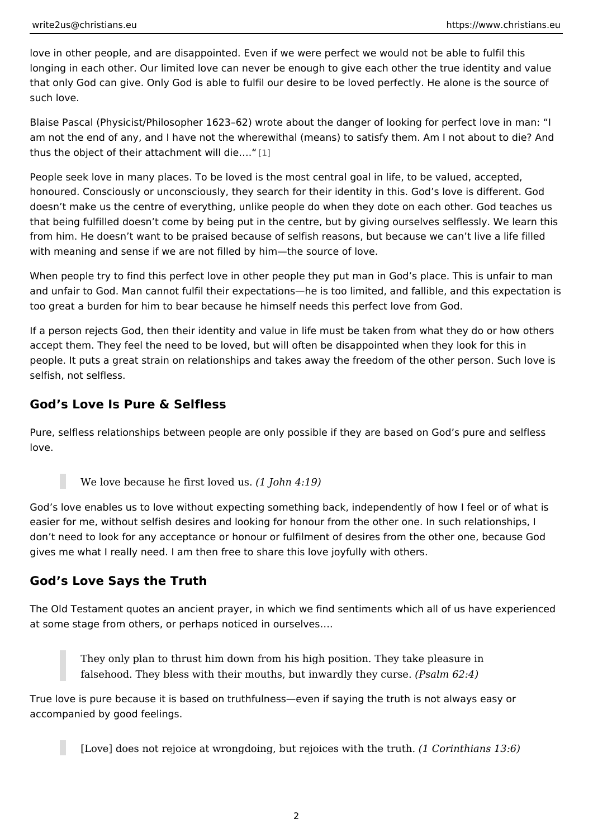love in other people, and are disappointed. Even if we were perfect we would no longing in each other. Our limited love can never be enough to give each other t that only God can give. Only God is able to fulfil our desire to be loved perfectl such love.

Blaise Pascal (Physicist/Philosopher 1623 62) wrote about the danger of looking am not the end of any, and I have not the wherewithal (means) to satisfy them.  $\mu$ thus the object of their attachmemt will die &.

People seek love in many places. To be loved is the most central goal in life, to honoured. Consciously or unconsciously, they search for their identity in this. G doesn t make us the centre of everything, unlike people do when they dote on ea that being fulfilled doesn t come by being put in the centre, but by giving oursel from him. He doesn t want to be praised because of selfish reasons, but because with meaning and sense if we are not filled by him the source of love.

When people try to find this perfect love in other people they put man in God s p and unfair to God. Man cannot fulfil their expectations he is too limited, and fal too great a burden for him to bear because he himself needs this perfect love from

If a person rejects God, then their identity and value in life must be taken from accept them. They feel the need to be loved, but will often be disappointed wher people. It puts a great strain on relationships and takes away the freedom of the selfish, not selfless.

### God s Love Is Pure & Selfless

Pure, selfless relationships between people are only possible if they are based love.

#### We love because he first ( $\texttt{float}( \texttt{hold} \texttt{null} \$

God s love enables us to love without expecting something back, independently of easier for me, without selfish desires and looking for honour from the other one. don t need to look for any acceptance or honour or fulfilment of desires from the gives me what I really need. I am then free to share this love joyfully with others.

### God s Love Says the Truth

The Old Testament quotes an ancient prayer, in which we find sentiments which at some stage from others, or perhaps noticed in ourselves&.

They only plan to thrust him down from his high position. They take pleasure falsehood. They bless with their mouths, but in (MPasradlim, the 2e: y4) curse.

True love is pure because it is based on truthfulness even if saying the truth is accompanied by good feelings.

[Love] does not rejoice at wrongdoing, but rejoictes comit the haen sruth. 6)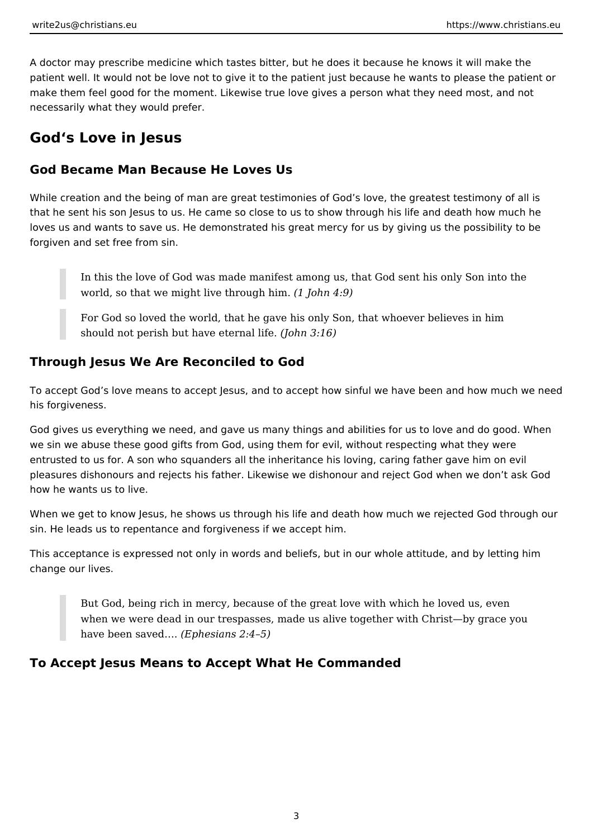A doctor may prescribe medicine which tastes bitter, but he does it because he knows it will make the patient well. It would not be love not to give it to the patient just because he wants to please the patient or make them feel good for the moment. Likewise true love gives a person what they need most, and not necessarily what they would prefer.

## **God's Love in Jesus**

## **God Became Man Because He Loves Us**

While creation and the being of man are great testimonies of God's love, the greatest testimony of all is that he sent his son Jesus to us. He came so close to us to show through his life and death how much he loves us and wants to save us. He demonstrated his great mercy for us by giving us the possibility to be forgiven and set free from sin.

In this the love of God was made manifest among us, that God sent his only Son into the world, so that we might live through him. *(1 John 4:9)*

For God so loved the world, that he gave his only Son, that whoever believes in him should not perish but have eternal life. *(John 3:16)*

## **Through Jesus We Are Reconciled to God**

To accept God's love means to accept Jesus, and to accept how sinful we have been and how much we need his forgiveness.

God gives us everything we need, and gave us many things and abilities for us to love and do good. When we sin we abuse these good gifts from God, using them for evil, without respecting what they were entrusted to us for. A son who squanders all the inheritance his loving, caring father gave him on evil pleasures dishonours and rejects his father. Likewise we dishonour and reject God when we don't ask God how he wants us to live.

When we get to know Jesus, he shows us through his life and death how much we rejected God through our sin. He leads us to repentance and forgiveness if we accept him.

This acceptance is expressed not only in words and beliefs, but in our whole attitude, and by letting him change our lives.

But God, being rich in mercy, because of the great love with which he loved us, even when we were dead in our trespasses, made us alive together with Christ—by grace you have been saved…. *(Ephesians 2:4–5)*

## **To Accept Jesus Means to Accept What He Commanded**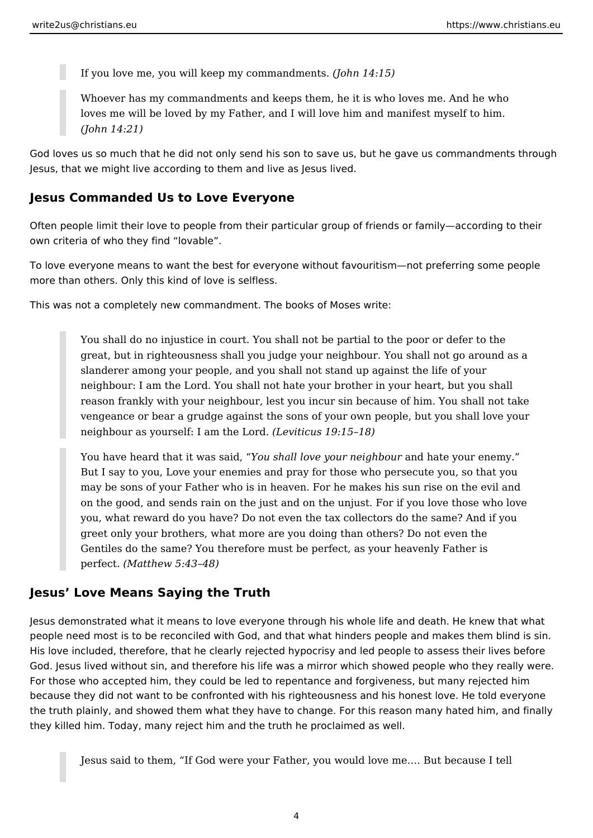If you love me, you will keep my commandments. *(John 14:15)*

Whoever has my commandments and keeps them, he it is who loves me. And he who loves me will be loved by my Father, and I will love him and manifest myself to him. *(John 14:21)*

God loves us so much that he did not only send his son to save us, but he gave us commandments through Jesus, that we might live according to them and live as Jesus lived.

## **Jesus Commanded Us to Love Everyone**

Often people limit their love to people from their particular group of friends or family—according to their own criteria of who they find "lovable".

To love everyone means to want the best for everyone without favouritism—not preferring some people more than others. Only this kind of love is selfless.

This was not a completely new commandment. The books of Moses write:

You shall do no injustice in court. You shall not be partial to the poor or defer to the great, but in righteousness shall you judge your neighbour. You shall not go around as a slanderer among your people, and you shall not stand up against the life of your neighbour: I am the Lord. You shall not hate your brother in your heart, but you shall reason frankly with your neighbour, lest you incur sin because of him. You shall not take vengeance or bear a grudge against the sons of your own people, but you shall love your neighbour as yourself: I am the Lord. *(Leviticus 19:15–18)*

You have heard that it was said, "*You shall love your neighbour* and hate your enemy." But I say to you, Love your enemies and pray for those who persecute you, so that you may be sons of your Father who is in heaven. For he makes his sun rise on the evil and on the good, and sends rain on the just and on the unjust. For if you love those who love you, what reward do you have? Do not even the tax collectors do the same? And if you greet only your brothers, what more are you doing than others? Do not even the Gentiles do the same? You therefore must be perfect, as your heavenly Father is perfect. *(Matthew 5:43–48)*

### **Jesus' Love Means Saying the Truth**

Jesus demonstrated what it means to love everyone through his whole life and death. He knew that what people need most is to be reconciled with God, and that what hinders people and makes them blind is sin. His love included, therefore, that he clearly rejected hypocrisy and led people to assess their lives before God. Jesus lived without sin, and therefore his life was a mirror which showed people who they really were. For those who accepted him, they could be led to repentance and forgiveness, but many rejected him because they did not want to be confronted with his righteousness and his honest love. He told everyone the truth plainly, and showed them what they have to change. For this reason many hated him, and finally they killed him. Today, many reject him and the truth he proclaimed as well.

Jesus said to them, "If God were your Father, you would love me…. But because I tell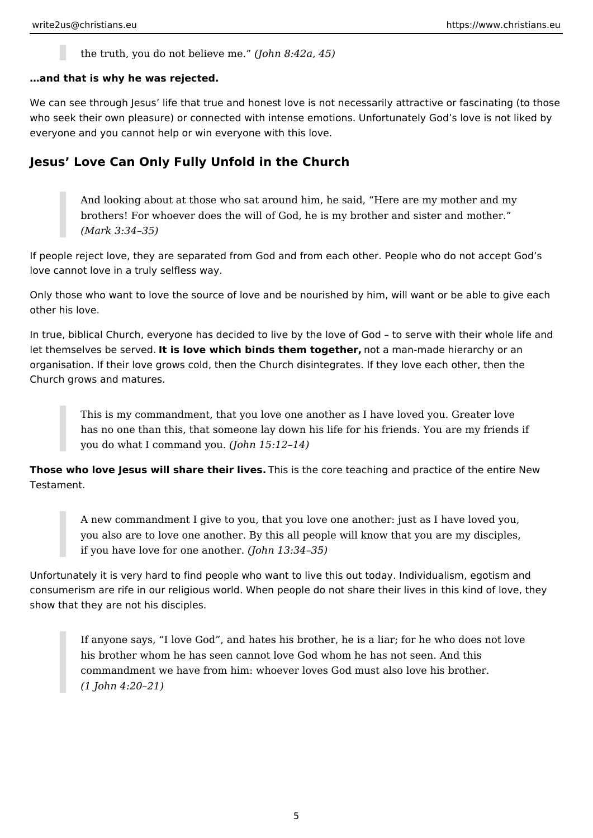the truth, you do not believe me." *(John 8:42a, 45)*

### **…and that is why he was rejected.**

We can see through Jesus' life that true and honest love is not necessarily attractive or fascinating (to those who seek their own pleasure) or connected with intense emotions. Unfortunately God's love is not liked by everyone and you cannot help or win everyone with this love.

## **Jesus' Love Can Only Fully Unfold in the Church**

And looking about at those who sat around him, he said, "Here are my mother and my brothers! For whoever does the will of God, he is my brother and sister and mother." *(Mark 3:34–35)*

If people reject love, they are separated from God and from each other. People who do not accept God's love cannot love in a truly selfless way.

Only those who want to love the source of love and be nourished by him, will want or be able to give each other his love.

In true, biblical Church, everyone has decided to live by the love of God – to serve with their whole life and let themselves be served. **It is love which binds them together,** not a man-made hierarchy or an organisation. If their love grows cold, then the Church disintegrates. If they love each other, then the Church grows and matures.

This is my commandment, that you love one another as I have loved you. Greater love has no one than this, that someone lay down his life for his friends. You are my friends if you do what I command you. *(John 15:12–14)*

**Those who love Jesus will share their lives.** This is the core teaching and practice of the entire New Testament.

A new commandment I give to you, that you love one another: just as I have loved you, you also are to love one another. By this all people will know that you are my disciples, if you have love for one another. *(John 13:34–35)*

Unfortunately it is very hard to find people who want to live this out today. Individualism, egotism and consumerism are rife in our religious world. When people do not share their lives in this kind of love, they show that they are not his disciples.

If anyone says, "I love God", and hates his brother, he is a liar; for he who does not love his brother whom he has seen cannot love God whom he has not seen. And this commandment we have from him: whoever loves God must also love his brother. *(1 John 4:20–21)*